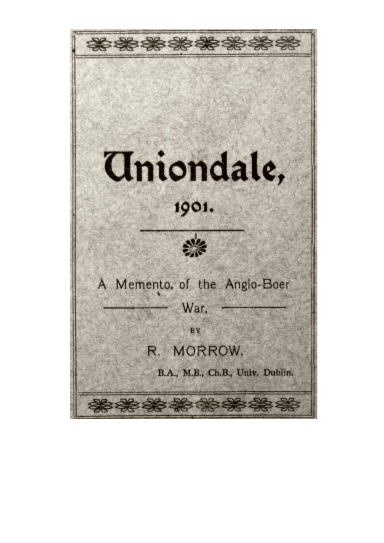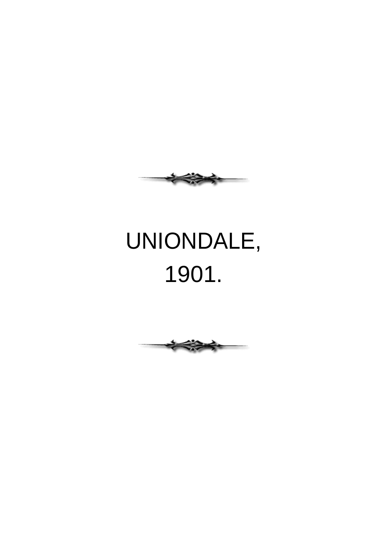

## UNIONDALE, 1901.

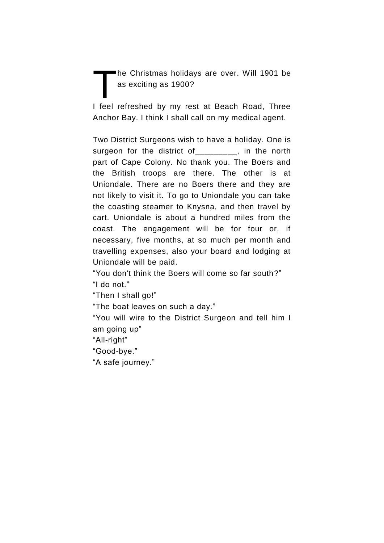he Christmas holidays are over. Will 1901 be as exciting as 1900?  $\prod$ 

I feel refreshed by my rest at Beach Road, Three Anchor Bay. I think I shall call on my medical agent.

Two District Surgeons wish to have a holiday. One is surgeon for the district of\_\_\_\_\_\_\_\_, in the north part of Cape Colony. No thank you. The Boers and the British troops are there. The other is at Uniondale. There are no Boers there and they are not likely to visit it. To go to Uniondale you can take the coasting steamer to Knysna, and then travel by cart. Uniondale is about a hundred miles from the coast. The engagement will be for four or, if necessary, five months, at so much per month and travelling expenses, also your board and lodging at Uniondale will be paid.

"You don't think the Boers will come so far south?" "I do not."

"Then I shall go!"

"The boat leaves on such a day."

―You will wire to the District Surgeon and tell him I am going up"

"All-right"

―Good-bye.‖

"A safe journey."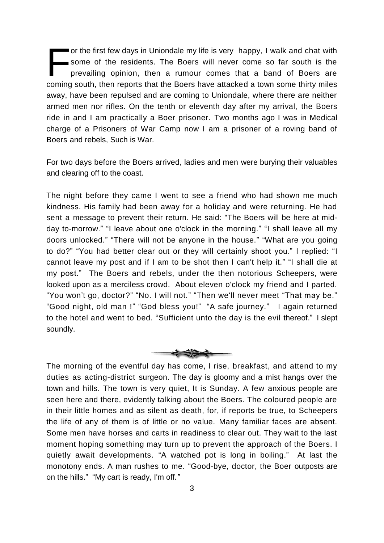or the first few days in Uniondale my life is very happy, I walk and chat with some of the residents. The Boers will never come so far south is the prevailing opinion, then a rumour comes that a band of Boers are coming south, then reports that the Boers have attacked a town some thirty miles away, have been repulsed and are coming to Uniondale, where there are neither armed men nor rifles. On the tenth or eleventh day after my arrival, the Boers ride in and I am practically a Boer prisoner. Two months ago I was in Medical charge of a Prisoners of War Camp now I am a prisoner of a roving band of Boers and rebels, Such is War. F

For two days before the Boers arrived, ladies and men were burying their valuables and clearing off to the coast.

The night before they came I went to see a friend who had shown me much kindness. His family had been away for a holiday and were returning. He had sent a message to prevent their return. He said: "The Boers will be here at midday to-morrow." "I leave about one o'clock in the morning." "I shall leave all my doors unlocked." "There will not be anyone in the house." "What are you going to do?" "You had better clear out or they will certainly shoot you." I replied: "I cannot leave my post and if I am to be shot then I can't help it." "I shall die at my post.‖ The Boers and rebels, under the then notorious Scheepers, were looked upon as a merciless crowd. About eleven o'clock my friend and I parted. "You won't go, doctor?" "No. I will not." "Then we'll never meet "That may be." "Good night, old man !" "God bless you!" "A safe journey." I again returned to the hotel and went to bed. "Sufficient unto the day is the evil thereof." I slept soundly.



The morning of the eventful day has come, I rise, breakfast, and attend to my duties as acting-district surgeon. The day is gloomy and a mist hangs over the town and hills. The town is very quiet, It is Sunday. A few anxious people are seen here and there, evidently talking about the Boers. The coloured people are in their little homes and as silent as death, for, if reports be true, to Scheepers the life of any of them is of little or no value. Many familiar faces are absent. Some men have horses and carts in readiness to clear out. They wait to the last moment hoping something may turn up to prevent the approach of the Boers. I quietly await developments. "A watched pot is long in boiling." At last the monotony ends. A man rushes to me. "Good-bye, doctor, the Boer outposts are on the hills.‖ ―My cart is ready, I'm off*."*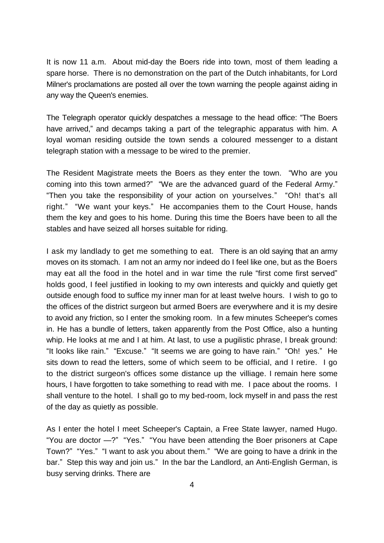It is now 11 a.m. About mid-day the Boers ride into town, most of them leading a spare horse. There is no demonstration on the part of the Dutch inhabitants, for Lord Milner's proclamations are posted all over the town warning the people against aiding in any way the Queen's enemies.

The Telegraph operator quickly despatches a message to the head office: "The Boers" have arrived," and decamps taking a part of the telegraphic apparatus with him. A loyal woman residing outside the town sends a coloured messenger to a distant telegraph station with a message to be wired to the premier.

The Resident Magistrate meets the Boers as they enter the town. "Who are you coming into this town armed?" "We are the advanced guard of the Federal Army." "Then you take the responsibility of your action on yourselves." "Oh! that's all right." "We want your keys." He accompanies them to the Court House, hands them the key and goes to his home. During this time the Boers have been to all the stables and have seized all horses suitable for riding.

I ask my landlady to get me something to eat. There is an old saying that an army moves on its stomach. I am not an army nor indeed do I feel like one, but as the Boers may eat all the food in the hotel and in war time the rule "first come first served" holds good, I feel justified in looking to my own interests and quickly and quietly get outside enough food to suffice my inner man for at least twelve hours. I wish to go to the offices of the district surgeon but armed Boers are everywhere and it is my desire to avoid any friction, so I enter the smoking room. In a few minutes Scheeper's comes in. He has a bundle of letters, taken apparently from the Post Office, also a hunting whip. He looks at me and I at him. At last, to use a pugilistic phrase, I break ground: "It looks like rain." "Excuse." "It seems we are going to have rain." "Oh! yes." He sits down to read the letters, some of which seem to be official, and I retire. I go to the district surgeon's offices some distance up the villiage. I remain here some hours, I have forgotten to take something to read with me. I pace about the rooms. I shall venture to the hotel. I shall go to my bed-room, lock myself in and pass the rest of the day as quietly as possible.

As I enter the hotel I meet Scheeper's Captain, a Free State lawyer, named Hugo. "You are doctor -?" "Yes." "You have been attending the Boer prisoners at Cape Town?" "Yes." "I want to ask you about them." "We are going to have a drink in the bar." Step this way and join us." In the bar the Landlord, an Anti-English German, is busy serving drinks. There are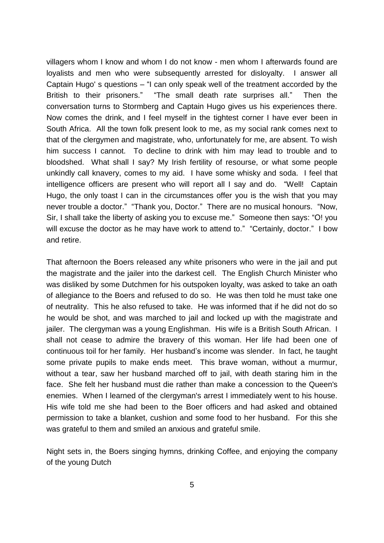villagers whom I know and whom I do not know - men whom I afterwards found are loyalists and men who were subsequently arrested for disloyalty. I answer all Captain Hugo's questions  $-$  "I can only speak well of the treatment accorded by the British to their prisoners.‖ ―The small death rate surprises all.‖ Then the conversation turns to Stormberg and Captain Hugo gives us his experiences there. Now comes the drink, and I feel myself in the tightest corner I have ever been in South Africa. All the town folk present look to me, as my social rank comes next to that of the clergymen and magistrate, who, unfortunately for me, are absent. To wish him success I cannot. To decline to drink with him may lead to trouble and to bloodshed. What shall I say? My Irish fertility of resourse, or what some people unkindly call knavery, comes to my aid. I have some whisky and soda. I feel that intelligence officers are present who will report all I say and do. "Well! Captain Hugo, the only toast I can in the circumstances offer you is the wish that you may never trouble a doctor." "Thank you, Doctor." There are no musical honours. "Now, Sir, I shall take the liberty of asking you to excuse me." Someone then says: "O! you will excuse the doctor as he may have work to attend to." "Certainly, doctor." I bow and retire.

That afternoon the Boers released any white prisoners who were in the jail and put the magistrate and the jailer into the darkest cell. The English Church Minister who was disliked by some Dutchmen for his outspoken loyalty, was asked to take an oath of allegiance to the Boers and refused to do so. He was then told he must take one of neutrality. This he also refused to take. He was informed that if he did not do so he would be shot, and was marched to jail and locked up with the magistrate and jailer. The clergyman was a young Englishman. His wife is a British South African. I shall not cease to admire the bravery of this woman. Her life had been one of continuous toil for her family. Her husband's income was slender. In fact, he taught some private pupils to make ends meet. This brave woman, without a murmur, without a tear, saw her husband marched off to jail, with death staring him in the face. She felt her husband must die rather than make a concession to the Queen's enemies. When I learned of the clergyman's arrest I immediately went to his house. His wife told me she had been to the Boer officers and had asked and obtained permission to take a blanket, cushion and some food to her husband. For this she was grateful to them and smiled an anxious and grateful smile.

Night sets in, the Boers singing hymns, drinking Coffee, and enjoying the company of the young Dutch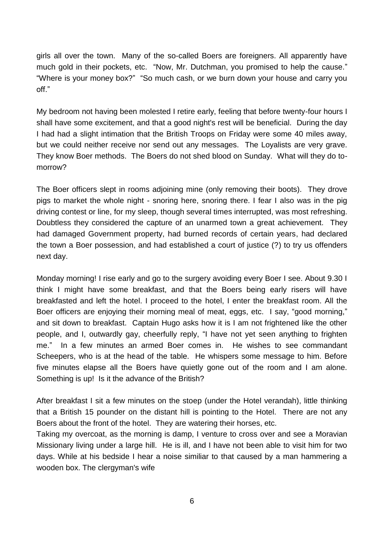girls all over the town. Many of the so-called Boers are foreigners. All apparently have much gold in their pockets, etc. "Now, Mr. Dutchman, you promised to help the cause." "Where is your money box?" "So much cash, or we burn down your house and carry you off<sup>"</sup>

My bedroom not having been molested I retire early, feeling that before twenty-four hours I shall have some excitement, and that a good night's rest will be beneficial. During the day I had had a slight intimation that the British Troops on Friday were some 40 miles away, but we could neither receive nor send out any messages. The Loyalists are very grave. They know Boer methods. The Boers do not shed blood on Sunday. What will they do tomorrow?

The Boer officers slept in rooms adjoining mine (only removing their boots). They drove pigs to market the whole night - snoring here, snoring there. I fear I also was in the pig driving contest or line, for my sleep, though several times interrupted, was most refreshing. Doubtless they considered the capture of an unarmed town a great achievement. They had damaged Government property, had burned records of certain years, had declared the town a Boer possession, and had established a court of justice (?) to try us offenders next day.

Monday morning! I rise early and go to the surgery avoiding every Boer I see. About 9.30 I think I might have some breakfast, and that the Boers being early risers will have breakfasted and left the hotel. I proceed to the hotel, I enter the breakfast room. All the Boer officers are enjoying their morning meal of meat, eggs, etc. I say, "good morning," and sit down to breakfast. Captain Hugo asks how it is I am not frightened like the other people, and I, outwardly gay, cheerfully reply, "I have not yet seen anything to frighten me.‖ In a few minutes an armed Boer comes in. He wishes to see commandant Scheepers, who is at the head of the table. He whispers some message to him. Before five minutes elapse all the Boers have quietly gone out of the room and I am alone. Something is up! Is it the advance of the British?

After breakfast I sit a few minutes on the stoep (under the Hotel verandah), little thinking that a British 15 pounder on the distant hill is pointing to the Hotel. There are not any Boers about the front of the hotel. They are watering their horses, etc.

Taking my overcoat, as the morning is damp, I venture to cross over and see a Moravian Missionary living under a large hill. He is ill, and I have not been able to visit him for two days. While at his bedside I hear a noise similiar to that caused by a man hammering a wooden box. The clergyman's wife

6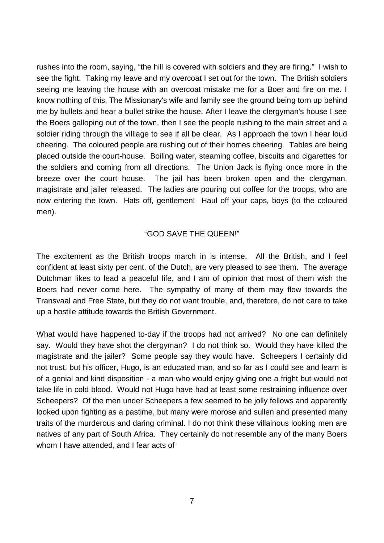rushes into the room, saying, "the hill is covered with soldiers and they are firing." I wish to see the fight. Taking my leave and my overcoat I set out for the town. The British soldiers seeing me leaving the house with an overcoat mistake me for a Boer and fire on me. I know nothing of this. The Missionary's wife and family see the ground being torn up behind me by bullets and hear a bullet strike the house. After I leave the clergyman's house I see the Boers galloping out of the town, then I see the people rushing to the main street and a soldier riding through the villiage to see if all be clear. As I approach the town I hear loud cheering. The coloured people are rushing out of their homes cheering. Tables are being placed outside the court-house. Boiling water, steaming coffee, biscuits and cigarettes for the soldiers and coming from all directions. The Union Jack is flying once more in the breeze over the court house. The jail has been broken open and the clergyman, magistrate and jailer released. The ladies are pouring out coffee for the troops, who are now entering the town. Hats off, gentlemen! Haul off your caps, boys (to the coloured men).

## **"GOD SAVE THE QUEEN!"**

The excitement as the British troops march in is intense. All the British, and I feel confident at least sixty per cent. of the Dutch, are very pleased to see them. The average Dutchman likes to lead a peaceful life, and I am of opinion that most of them wish the Boers had never come here. The sympathy of many of them may flow towards the Transvaal and Free State, but they do not want trouble, and, therefore, do not care to take up a hostile attitude towards the British Government.

What would have happened to-day if the troops had not arrived? No one can definitely say. Would they have shot the clergyman? I do not think so. Would they have killed the magistrate and the jailer? Some people say they would have. Scheepers I certainly did not trust, but his officer, Hugo, is an educated man, and so far as I could see and learn is of a genial and kind disposition - a man who would enjoy giving one a fright but would not take life in cold blood. Would not Hugo have had at least some restraining influence over Scheepers? Of the men under Scheepers a few seemed to be jolly fellows and apparently looked upon fighting as a pastime, but many were morose and sullen and presented many traits of the murderous and daring criminal. I do not think these villainous looking men are natives of any part of South Africa. They certainly do not resemble any of the many Boers whom I have attended, and I fear acts of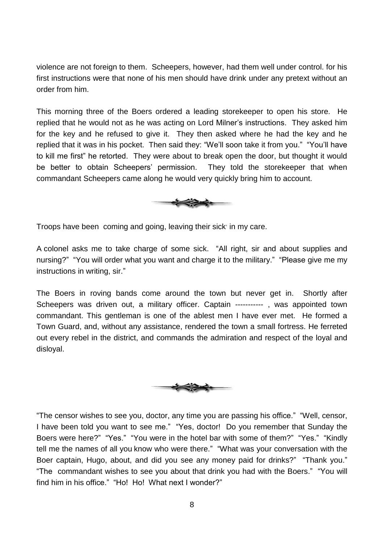violence are not foreign to them. Scheepers, however, had them well under control. for his first instructions were that none of his men should have drink under any pretext without an order from him.

This morning three of the Boers ordered a leading storekeeper to open his store. He replied that he would not as he was acting on Lord Milner's instructions. They asked him for the key and he refused to give it. They then asked where he had the key and he replied that it was in his pocket. Then said they: "We'll soon take it from you." "You'll have to kill me first" he retorted. They were about to break open the door, but thought it would be better to obtain Scheepers' permission. They told the storekeeper that when commandant Scheepers came along he would very quickly bring him to account.



Troops have been coming and going, leaving their sick in my care.

A colonel asks me to take charge of some sick. "All right, sir and about supplies and nursing?" "You will order what you want and charge it to the military." "Please give me my instructions in writing, sir."

The Boers in roving bands come around the town but never get in. Shortly after Scheepers was driven out, a military officer. Captain -----------, was appointed town commandant. This gentleman is one of the ablest men I have ever met. He formed a Town Guard, and, without any assistance, rendered the town a small fortress. He ferreted out every rebel in the district, and commands the admiration and respect of the loyal and disloyal.



"The censor wishes to see you, doctor, any time you are passing his office." "Well, censor, I have been told you want to see me." "Yes, doctor! Do you remember that Sunday the Boers were here?" "Yes." "You were in the hotel bar with some of them?" "Yes." "Kindly tell me the names of all you know who were there." "What was your conversation with the Boer captain, Hugo, about, and did you see any money paid for drinks?" "Thank you." "The commandant wishes to see you about that drink you had with the Boers." "You will find him in his office." "Ho! Ho! What next I wonder?"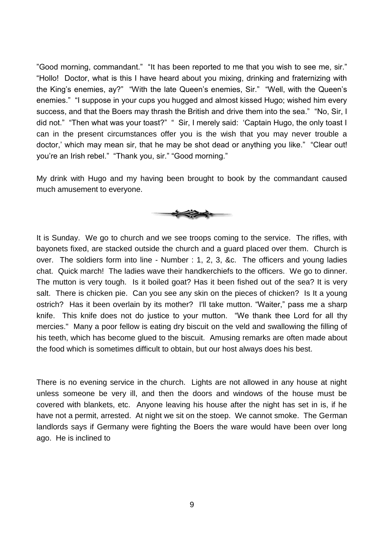"Good morning, commandant." "It has been reported to me that you wish to see me, sir." "Hollo! Doctor, what is this I have heard about you mixing, drinking and fraternizing with the King's enemies, ay?" "With the late Queen's enemies, Sir." "Well, with the Queen's enemies." "I suppose in your cups you hugged and almost kissed Hugo; wished him every success, and that the Boers may thrash the British and drive them into the sea." "No, Sir, I did not." "Then what was your toast?" " Sir, I merely said: 'Captain Hugo, the only toast I can in the present circumstances offer you is the wish that you may never trouble a doctor,' which may mean sir, that he may be shot dead or anything you like." "Clear out! you're an Irish rebel." "Thank you, sir." "Good morning."

My drink with Hugo and my having been brought to book by the commandant caused much amusement to everyone.



It is Sunday. We go to church and we see troops coming to the service. The rifles, with bayonets fixed, are stacked outside the church and a guard placed over them. Church is over. The soldiers form into line - Number : 1, 2, 3, &c. The officers and young ladies chat. Quick march! The ladies wave their handkerchiefs to the officers. We go to dinner. The mutton is very tough. Is it boiled goat? Has it been fished out of the sea? It is very salt. There is chicken pie. Can you see any skin on the pieces of chicken? Is It a young ostrich? Has it been overlain by its mother? I'll take mutton. "Waiter," pass me a sharp knife. This knife does not do justice to your mutton. "We thank thee Lord for all thy mercies." Many a poor fellow is eating dry biscuit on the veld and swallowing the filling of his teeth, which has become glued to the biscuit. Amusing remarks are often made about the food which is sometimes difficult to obtain, but our host always does his best.

There is no evening service in the church. Lights are not allowed in any house at night unless someone be very ill, and then the doors and windows of the house must be covered with blankets, etc. Anyone leaving his house after the night has set in is, if he have not a permit, arrested. At night we sit on the stoep. We cannot smoke. The German landlords says if Germany were fighting the Boers the ware would have been over long ago. He is inclined to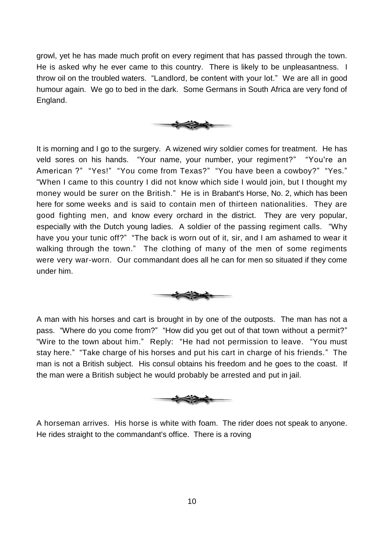growl, yet he has made much profit on every regiment that has passed through the town. He is asked why he ever came to this country. There is likely to be unpleasantness. I throw oil on the troubled waters. "Landlord, be content with your lot." We are all in good humour again. We go to bed in the dark. Some Germans in South Africa are very fond of England.



It is morning and I go to the surgery. A wizened wiry soldier comes for treatment. He has veld sores on his hands. "Your name, your number, your regiment?" "You're an American ?" "Yes!" "You come from Texas?" "You have been a cowboy?" "Yes." ―When I came to this country I did not know which side I would join, but I thought my money would be surer on the British." He is in Brabant's Horse, No. 2, which has been here for some weeks and is said to contain men of thirteen nationalities. They are good fighting men, and know every orchard in the district. They are very popular, especially with the Dutch young ladies. A soldier of the passing regiment calls. "Why have you your tunic off?" "The back is worn out of it, sir, and I am ashamed to wear it walking through the town." The clothing of many of the men of some regiments were very war-worn. Our commandant does all he can for men so situated if they come under him.



A man with his horses and cart is brought in by one of the outposts. The man has not a pass. "Where do you come from?" "How did you get out of that town without a permit?" "Wire to the town about him." Reply: "He had not permission to leave. "You must stay here." "Take charge of his horses and put his cart in charge of his friends." The man is not a British subject. His consul obtains his freedom and he goes to the coast. If the man were a British subject he would probably be arrested and put in jail.



A horseman arrives. His horse is white with foam. The rider does not speak to anyone. He rides straight to the commandant's office. There is a roving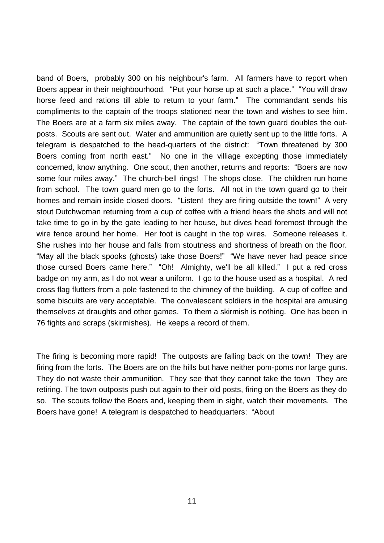band of Boers, probably 300 on his neighbour's farm. All farmers have to report when Boers appear in their neighbourhood. "Put your horse up at such a place." "You will draw horse feed and rations till able to return to your farm." The commandant sends his compliments to the captain of the troops stationed near the town and wishes to see him. The Boers are at a farm six miles away. The captain of the town guard doubles the outposts. Scouts are sent out. Water and ammunition are quietly sent up to the little forts. A telegram is despatched to the head-quarters of the district: "Town threatened by 300 Boers coming from north east." No one in the villiage excepting those immediately concerned, know anything. One scout, then another, returns and reports: "Boers are now some four miles away." The church-bell rings! The shops close. The children run home from school. The town guard men go to the forts. All not in the town guard go to their homes and remain inside closed doors. "Listen! they are firing outside the town!" A very stout Dutchwoman returning from a cup of coffee with a friend hears the shots and will not take time to go in by the gate leading to her house, but dives head foremost through the wire fence around her home. Her foot is caught in the top wires. Someone releases it. She rushes into her house and falls from stoutness and shortness of breath on the floor. "May all the black spooks (ghosts) take those Boers!" "We have never had peace since those cursed Boers came here." "Oh! Almighty, we'll be all killed." I put a red cross badge on my arm, as I do not wear a uniform. I go to the house used as a hospital. A red cross flag flutters from a pole fastened to the chimney of the building. A cup of coffee and some biscuits are very acceptable. The convalescent soldiers in the hospital are amusing themselves at draughts and other games. To them a skirmish is nothing. One has been in 76 fights and scraps (skirmishes). He keeps a record of them.

The firing is becoming more rapid! The outposts are falling back on the town! They are firing from the forts. The Boers are on the hills but have neither pom-poms nor large guns. They do not waste their ammunition. They see that they cannot take the town They are retiring. The town outposts push out again to their old posts, firing on the Boers as they do so. The scouts follow the Boers and, keeping them in sight, watch their movements. The Boers have gone! A telegram is despatched to headquarters: "About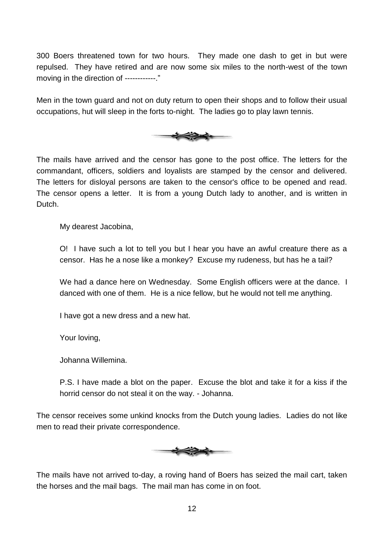300 Boers threatened town for two hours. They made one dash to get in but were repulsed. They have retired and are now some six miles to the north-west of the town moving in the direction of ------------."

Men in the town guard and not on duty return to open their shops and to follow their usual occupations, hut will sleep in the forts to-night. The ladies go to play lawn tennis.



The mails have arrived and the censor has gone to the post office. The letters for the commandant, officers, soldiers and loyalists are stamped by the censor and delivered. The letters for disloyal persons are taken to the censor's office to be opened and read. The censor opens a letter. It is from a young Dutch lady to another, and is written in Dutch.

My dearest Jacobina,

O! I have such a lot to tell you but I hear you have an awful creature there as a censor. Has he a nose like a monkey? Excuse my rudeness, but has he a tail?

We had a dance here on Wednesday. Some English officers were at the dance. I danced with one of them. He is a nice fellow, but he would not tell me anything.

I have got a new dress and a new hat.

Your loving,

Johanna Willemina.

P.S. I have made a blot on the paper. Excuse the blot and take it for a kiss if the horrid censor do not steal it on the way. - Johanna.

The censor receives some unkind knocks from the Dutch young ladies. Ladies do not like men to read their private correspondence.



The mails have not arrived to-day, a roving hand of Boers has seized the mail cart, taken the horses and the mail bags. The mail man has come in on foot.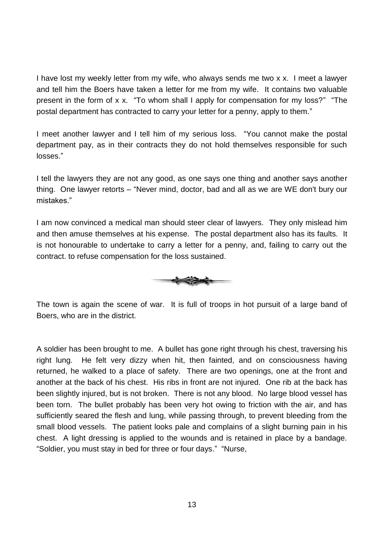I have lost my weekly letter from my wife, who always sends me two x x. I meet a lawyer and tell him the Boers have taken a letter for me from my wife. It contains two valuable present in the form of x x. "To whom shall I apply for compensation for my loss?" "The postal department has contracted to carry your letter for a penny, apply to them."

I meet another lawyer and I tell him of my serious loss. "You cannot make the postal department pay, as in their contracts they do not hold themselves responsible for such losses.‖

I tell the lawyers they are not any good, as one says one thing and another says another thing. One lawyer retorts – "Never mind, doctor, bad and all as we are WE don't bury our mistakes."

I am now convinced a medical man should steer clear of lawyers. They only mislead him and then amuse themselves at his expense. The postal department also has its faults. It is not honourable to undertake to carry a letter for a penny, and, failing to carry out the contract. to refuse compensation for the loss sustained.



The town is again the scene of war. It is full of troops in hot pursuit of a large band of Boers, who are in the district.

A soldier has been brought to me. A bullet has gone right through his chest, traversing his right lung. He felt very dizzy when hit, then fainted, and on consciousness having returned, he walked to a place of safety. There are two openings, one at the front and another at the back of his chest. His ribs in front are not injured. One rib at the back has been slightly injured, but is not broken. There is not any blood. No large blood vessel has been torn. The bullet probably has been very hot owing to friction with the air, and has sufficiently seared the flesh and lung, while passing through, to prevent bleeding from the small blood vessels. The patient looks pale and complains of a slight burning pain in his chest. A light dressing is applied to the wounds and is retained in place by a bandage. "Soldier, you must stay in bed for three or four days." "Nurse,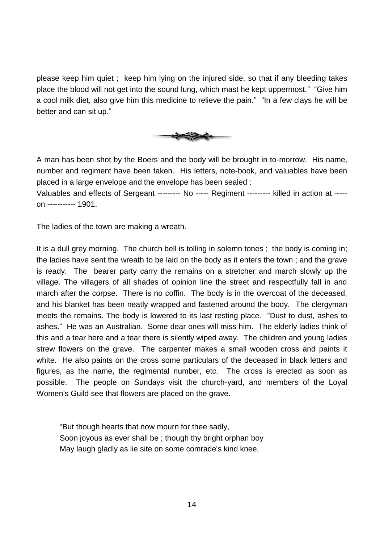please keep him quiet ; keep him lying on the injured side, so that if any bleeding takes place the blood will not get into the sound lung, which mast he kept uppermost." "Give him a cool milk diet, also give him this medicine to relieve the pain." "In a few clays he will be better and can sit up."



A man has been shot by the Boers and the body will be brought in to-morrow. His name, number and regiment have been taken. His letters, note-book, and valuables have been placed in a large envelope and the envelope has been sealed :

Valuables and effects of Sergeant --------- No ----- Regiment --------- killed in action at ---- on ----------- 1901.

The ladies of the town are making a wreath.

It is a dull grey morning. The church bell is tolling in solemn tones ; the body is coming in; the ladies have sent the wreath to be laid on the body as it enters the town ; and the grave is ready. The bearer party carry the remains on a stretcher and march slowly up the village. The villagers of all shades of opinion line the street and respectfully fall in and march after the corpse. There is no coffin. The body is in the overcoat of the deceased, and his blanket has been neatly wrapped and fastened around the body. The clergyman meets the remains. The body is lowered to its last resting place. "Dust to dust, ashes to ashes." He was an Australian. Some dear ones will miss him. The elderly ladies think of this and a tear here and a tear there is silently wiped away. The children and young ladies strew flowers on the grave. The carpenter makes a small wooden cross and paints it white. He also paints on the cross some particulars of the deceased in black letters and figures, as the name, the regimental number, etc. The cross is erected as soon as possible. The people on Sundays visit the church-yard, and members of the Loyal Women's Guild see that flowers are placed on the grave.

"But though hearts that now mourn for thee sadly, Soon joyous as ever shall be ; though thy bright orphan boy May laugh gladly as lie site on some comrade's kind knee,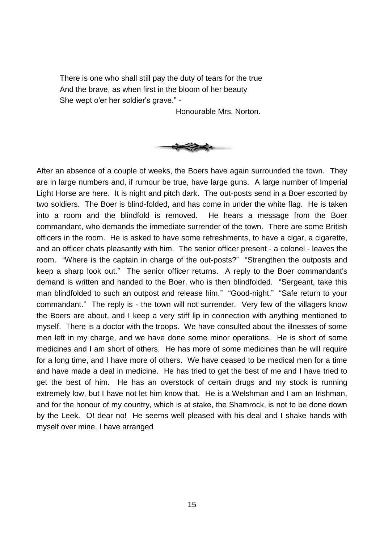There is one who shall still pay the duty of tears for the true And the brave, as when first in the bloom of her beauty She wept o'er her soldier's grave." -

Honourable Mrs. Norton.



After an absence of a couple of weeks, the Boers have again surrounded the town. They are in large numbers and, if rumour be true, have large guns. A large number of Imperial Light Horse are here. It is night and pitch dark. The out-posts send in a Boer escorted by two soldiers. The Boer is blind-folded, and has come in under the white flag. He is taken into a room and the blindfold is removed. He hears a message from the Boer commandant, who demands the immediate surrender of the town. There are some British officers in the room. He is asked to have some refreshments, to have a cigar, a cigarette, and an officer chats pleasantly with him. The senior officer present - a colonel - leaves the room. "Where is the captain in charge of the out-posts?" "Strengthen the outposts and keep a sharp look out." The senior officer returns. A reply to the Boer commandant's demand is written and handed to the Boer, who is then blindfolded. "Sergeant, take this man blindfolded to such an outpost and release him." "Good-night." "Safe return to your commandant." The reply is - the town will not surrender. Very few of the villagers know the Boers are about, and I keep a very stiff lip in connection with anything mentioned to myself. There is a doctor with the troops. We have consulted about the illnesses of some men left in my charge, and we have done some minor operations. He is short of some medicines and I am short of others. He has more of some medicines than he will require for a long time, and I have more of others. We have ceased to be medical men for a time and have made a deal in medicine. He has tried to get the best of me and I have tried to get the best of him. He has an overstock of certain drugs and my stock is running extremely low, but I have not let him know that. He is a Welshman and I am an Irishman, and for the honour of my country, which is at stake, the Shamrock, is not to be done down by the Leek. O! dear no! He seems well pleased with his deal and I shake hands with myself over mine. I have arranged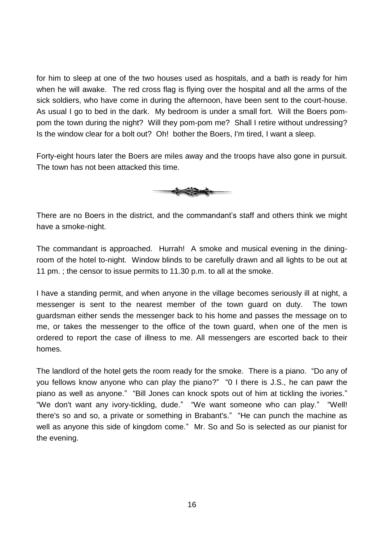for him to sleep at one of the two houses used as hospitals, and a bath is ready for him when he will awake. The red cross flag is flying over the hospital and all the arms of the sick soldiers, who have come in during the afternoon, have been sent to the court-house. As usual I go to bed in the dark. My bedroom is under a small fort. Will the Boers pompom the town during the night? Will they pom-pom me? Shall I retire without undressing? Is the window clear for a bolt out? Oh! bother the Boers, I'm tired, I want a sleep.

Forty-eight hours later the Boers are miles away and the troops have also gone in pursuit. The town has not been attacked this time.



There are no Boers in the district, and the commandant's staff and others think we might have a smoke-night.

The commandant is approached. Hurrah! A smoke and musical evening in the diningroom of the hotel to-night. Window blinds to be carefully drawn and all lights to be out at 11 pm. ; the censor to issue permits to 11.30 p.m. to all at the smoke.

I have a standing permit, and when anyone in the village becomes seriously ill at night, a messenger is sent to the nearest member of the town guard on duty. The town guardsman either sends the messenger back to his home and passes the message on to me, or takes the messenger to the office of the town guard, when one of the men is ordered to report the case of illness to me. All messengers are escorted back to their homes.

The landlord of the hotel gets the room ready for the smoke. There is a piano. "Do any of you fellows know anyone who can play the piano?" "O I there is J.S., he can pawr the piano as well as anyone." "Bill Jones can knock spots out of him at tickling the ivories." "We don't want any ivory-tickling, dude." "We want someone who can play." "Well! there's so and so, a private or something in Brabant's." "He can punch the machine as well as anyone this side of kingdom come." Mr. So and So is selected as our pianist for the evening.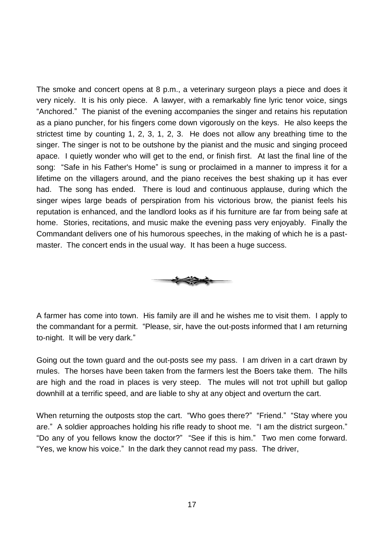The smoke and concert opens at 8 p.m., a veterinary surgeon plays a piece and does it very nicely. It is his only piece. A lawyer, with a remarkably fine lyric tenor voice, sings "Anchored." The pianist of the evening accompanies the singer and retains his reputation as a piano puncher, for his fingers come down vigorously on the keys. He also keeps the strictest time by counting 1, 2, 3, 1, 2, 3. He does not allow any breathing time to the singer. The singer is not to be outshone by the pianist and the music and singing proceed apace. I quietly wonder who will get to the end, or finish first. At last the final line of the song: "Safe in his Father's Home" is sung or proclaimed in a manner to impress it for a lifetime on the villagers around, and the piano receives the best shaking up it has ever had. The song has ended. There is loud and continuous applause, during which the singer wipes large beads of perspiration from his victorious brow, the pianist feels his reputation is enhanced, and the landlord looks as if his furniture are far from being safe at home. Stories, recitations, and music make the evening pass very enjoyably. Finally the Commandant delivers one of his humorous speeches, in the making of which he is a pastmaster. The concert ends in the usual way. It has been a huge success.



A farmer has come into town. His family are ill and he wishes me to visit them. I apply to the commandant for a permit. "Please, sir, have the out-posts informed that I am returning to-night. It will be very dark."

Going out the town guard and the out-posts see my pass. I am driven in a cart drawn by rnules. The horses have been taken from the farmers lest the Boers take them. The hills are high and the road in places is very steep. The mules will not trot uphill but gallop downhill at a terrific speed, and are liable to shy at any object and overturn the cart.

When returning the outposts stop the cart. "Who goes there?" "Friend." "Stay where you are." A soldier approaches holding his rifle ready to shoot me. "I am the district surgeon." "Do any of you fellows know the doctor?" "See if this is him." Two men come forward. "Yes, we know his voice." In the dark they cannot read my pass. The driver,